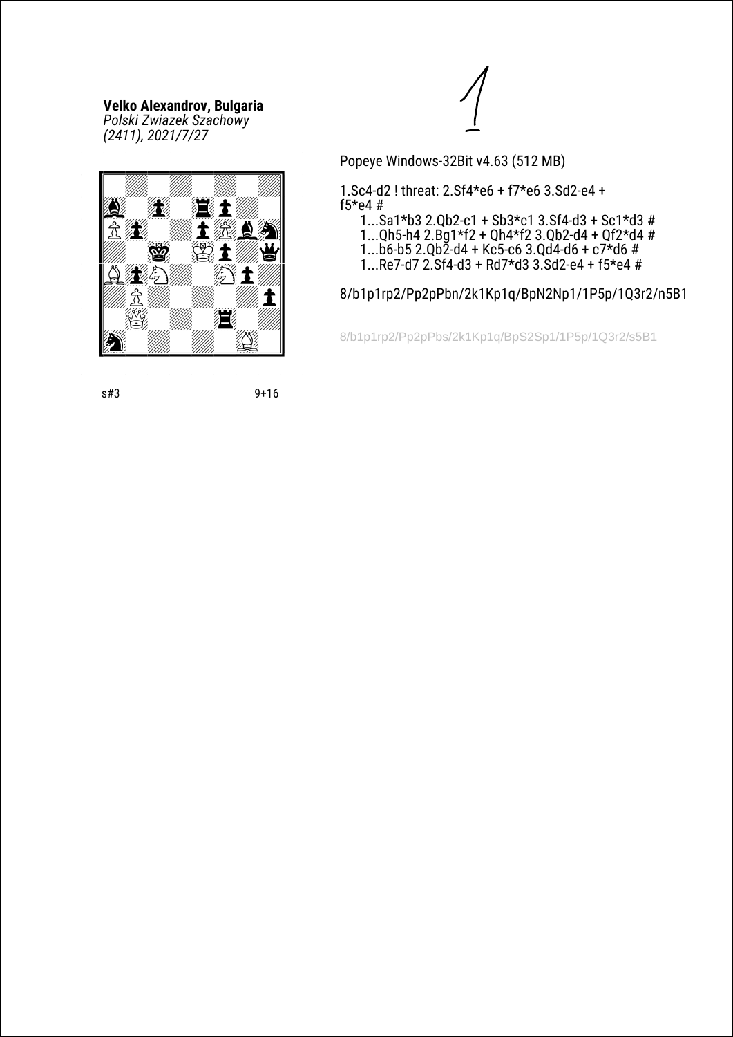*Polski Zwiazek Szachowy (2411), 2021/7/27*





Popeye Windows-32Bit v4.63 (512 MB)

1.Sc4-d2 ! threat: 2.Sf4\*e6 + f7\*e6 3.Sd2-e4 + f5\*e4 #

 1...Sa1\*b3 2.Qb2-c1 + Sb3\*c1 3.Sf4-d3 + Sc1\*d3 # 1...Qh5-h4 2.Bg1\*f2 + Qh4\*f2 3.Qb2-d4 + Qf2\*d4 #

1...b6-b5 2.Qb2-d4 + Kc5-c6 3.Qd4-d6 + c7\*d6 #

1...Re7-d7 2.Sf4-d3 + Rd7\*d3 3.Sd2-e4 + f5\*e4 #

8/b1p1rp2/Pp2pPbn/2k1Kp1q/BpN2Np1/1P5p/1Q3r2/n5B1

8/b1p1rp2/Pp2pPbs/2k1Kp1q/BpS2Sp1/1P5p/1Q3r2/s5B1

s#3 9+16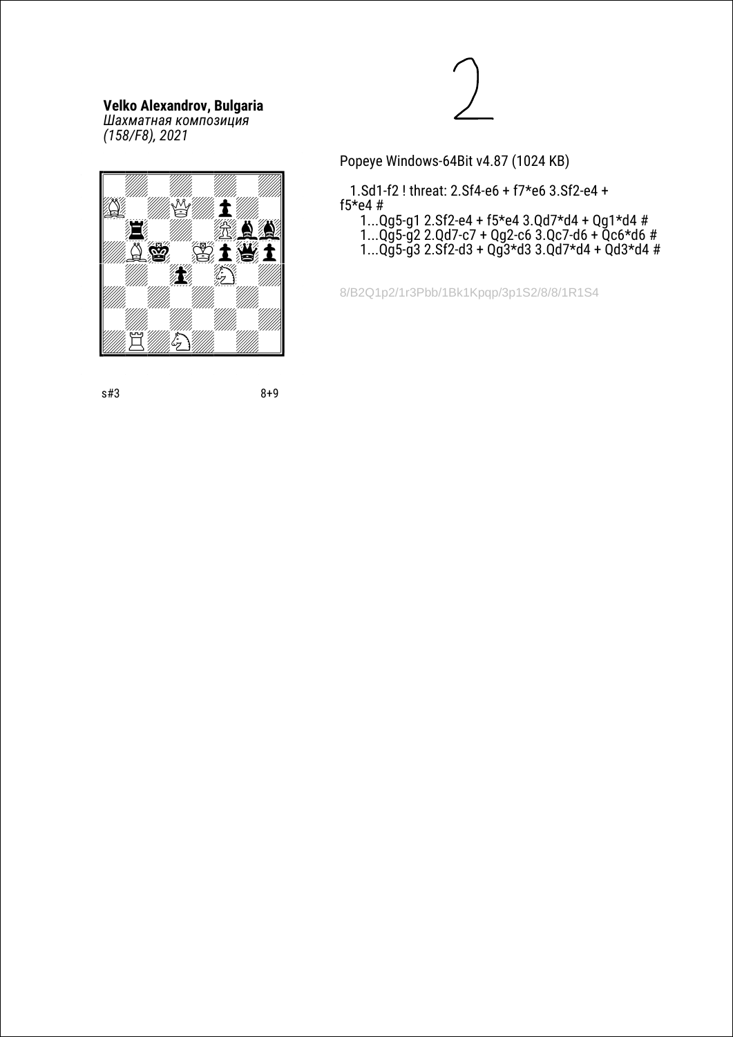KLLLLLLLLM  $\blacksquare$  $\mathbf{E} = \mathbf{E}$  and  $\mathbf{E} = \mathbf{E}$ 

e<br>As 21

 $\blacksquare$  $\mathcal{N}=\mathcal{N}=\mathcal{N}=\mathcal{N}=\mathcal{N}=\mathcal{N}=\mathcal{N}=\mathcal{N}=\mathcal{N}=\mathcal{N}=\mathcal{N}=\mathcal{N}=\mathcal{N}=\mathcal{N}=\mathcal{N}=\mathcal{N}=\mathcal{N}=\mathcal{N}=\mathcal{N}=\mathcal{N}=\mathcal{N}=\mathcal{N}=\mathcal{N}=\mathcal{N}=\mathcal{N}=\mathcal{N}=\mathcal{N}=\mathcal{N}=\mathcal{N}=\mathcal{N}=\mathcal{N}=\mathcal{N}=\mathcal{N}=\mathcal{N}=\mathcal{N}=\mathcal{N}=\mathcal{$  $\mathbb{Z}^n$ 

RSSSSSSSST

 $\mathbb{E}^{\mathbb{W}}$ 

N¤m3£1»J»Q

*Шахматная композиция (158/F8), 2021*



Popeye Windows-64Bit v4.87 (1024 KB)

 1.Sd1-f2 ! threat: 2.Sf4-e6 + f7\*e6 3.Sf2-e4 + f5\*e4 # 1...Qg5-g1 2.Sf2-e4 + f5\*e4 3.Qd7\*d4 + Qg1\*d4 #

 1...Qg5-g2 2.Qd7-c7 + Qg2-c6 3.Qc7-d6 + Qc6\*d6 # 1...Qg5-g3 2.Sf2-d3 + Qg3\*d3 3.Qd7\*d4 + Qd3\*d4 #

8/B2Q1p2/1r3Pbb/1Bk1Kpqp/3p1S2/8/8/1R1S4

s#3 8+9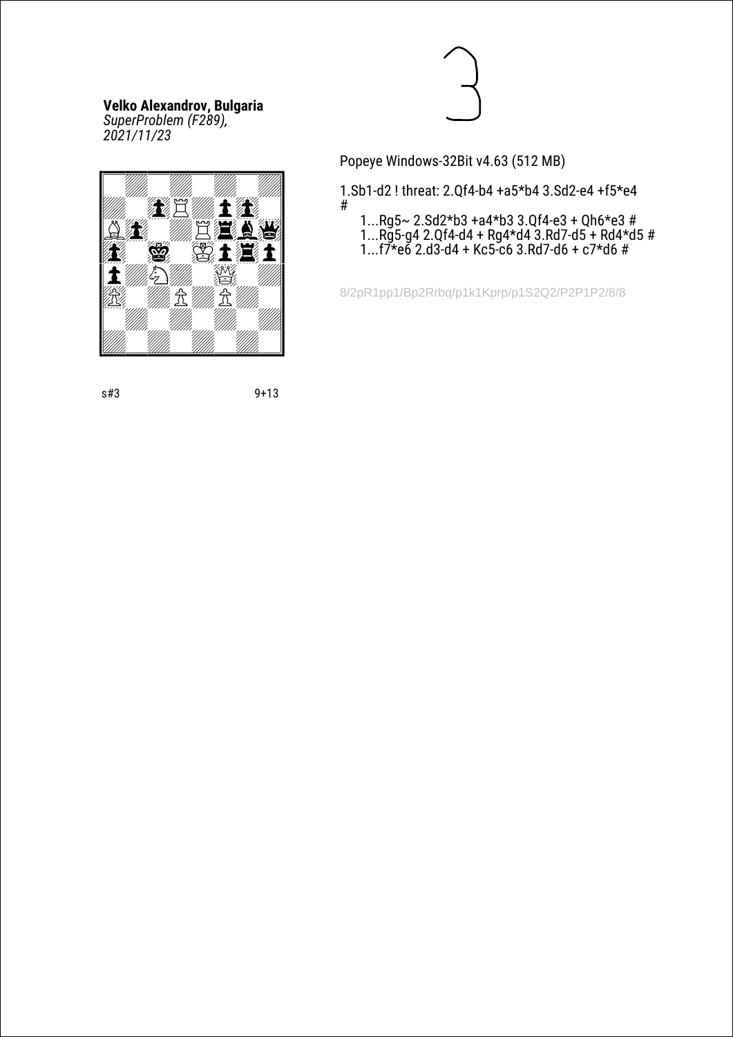*SuperProblem (F289), 2021/11/23*





Popeye Windows-32Bit v4.63 (512 MB)

1.Sb1-d2 ! threat: 2.Qf4-b4 +a5\*b4 3.Sd2-e4 +f5\*e4 #

 1...Rg5~ 2.Sd2\*b3 +a4\*b3 3.Qf4-e3 + Qh6\*e3 # 1...Rg5-g4 2.Qf4-d4 + Rg4\*d4 3.Rd7-d5 + Rd4\*d5 # 1...f7\*e6 2.d3-d4 + Kc5-c6 3.Rd7-d6 + c7\*d6 #

8/2pR1pp1/Bp2Rrbq/p1k1Kprp/p1S2Q2/P2P1P2/8/8

s#3 9+13